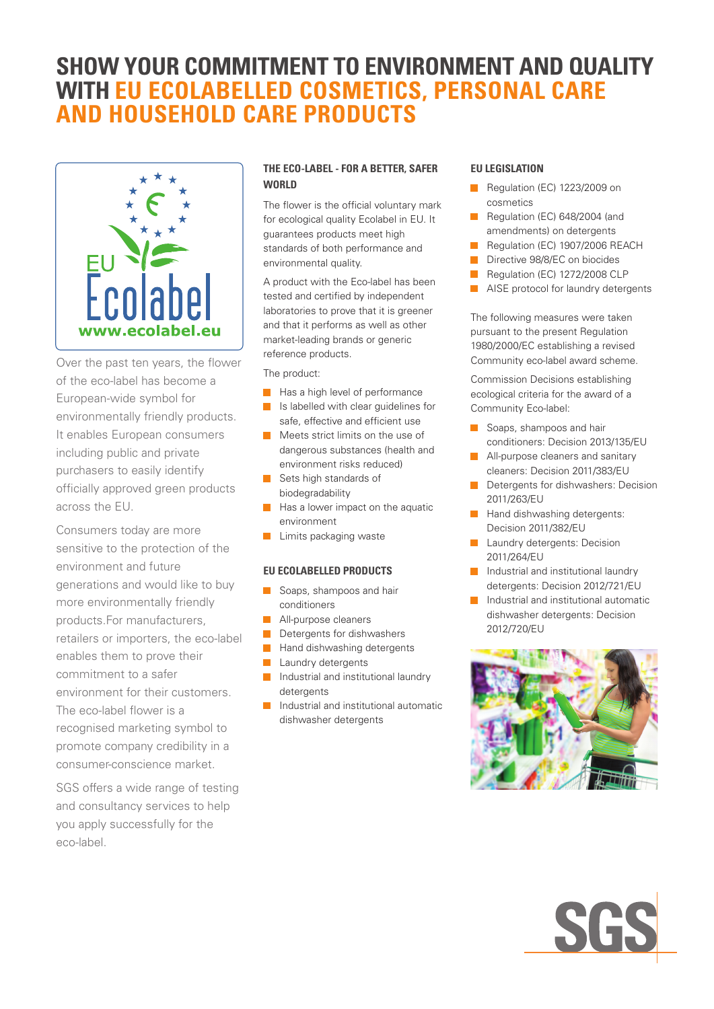# **SHOW YOUR COMMITMENT TO ENVIRONMENT AND QUALITY WITH EU ECOLABELLED COSMETICS, PERSONAL CARE and HOUSEHOLD CARE PRODUCTS**



Over the past ten years, the flower of the eco-label has become a European-wide symbol for environmentally friendly products. It enables European consumers including public and private purchasers to easily identify officially approved green products across the EU.

Consumers today are more sensitive to the protection of the environment and future generations and would like to buy more environmentally friendly products.For manufacturers, retailers or importers, the eco-label enables them to prove their commitment to a safer environment for their customers. The eco-label flower is a recognised marketing symbol to promote company credibility in a consumer-conscience market.

SGS offers a wide range of testing and consultancy services to help you apply successfully for the eco-label.

### **THE ECO-LABEL - FOR A BETTER, SAFER WORLD**

The flower is the official voluntary mark for ecological quality Ecolabel in EU. It guarantees products meet high standards of both performance and environmental quality.

A product with the Eco-label has been tested and certified by independent laboratories to prove that it is greener and that it performs as well as other market-leading brands or generic reference products.

The product:

- $\blacksquare$  Has a high level of performance
- **T** Is labelled with clear guidelines for safe, effective and efficient use
- $\blacksquare$  Meets strict limits on the use of dangerous substances (health and environment risks reduced)
- Sets high standards of biodegradability
- Has a lower impact on the aquatic environment
- $\Box$ Limits packaging waste

#### **EU ECOLABELLED PRODUCTS**

- Soaps, shampoos and hair conditioners
- All-purpose cleaners
- $\blacksquare$ Detergents for dishwashers
- Hand dishwashing detergents  $\blacksquare$
- **Laundry detergents**
- $\blacksquare$ Industrial and institutional laundry detergents
- **Industrial and institutional automatic** dishwasher detergents

#### **EU LEGISLATION**

- Regulation (EC) 1223/2009 on cosmetics
- Regulation (EC) 648/2004 (and amendments) on detergents
- Ē. Regulation (EC) 1907/2006 REACH
- ÷. Directive 98/8/EC on biocides
- ÷ Regulation (EC) 1272/2008 CLP
- AISE protocol for laundry detergents

The following measures were taken pursuant to the present Regulation 1980/2000/EC establishing a revised Community eco-label award scheme.

Commission Decisions establishing ecological criteria for the award of a Community Eco-label:

- Soaps, shampoos and hair conditioners: Decision 2013/135/EU
- п All-purpose cleaners and sanitary cleaners: Decision 2011/383/EU
- П Detergents for dishwashers: Decision 2011/263/EU
- n Hand dishwashing detergents: Decision 2011/382/EU
- Laundry detergents: Decision m. 2011/264/EU
- Industrial and institutional laundry detergents: Decision 2012/721/EU
- Industrial and institutional automatic m. dishwasher detergents: Decision 2012/720/EU